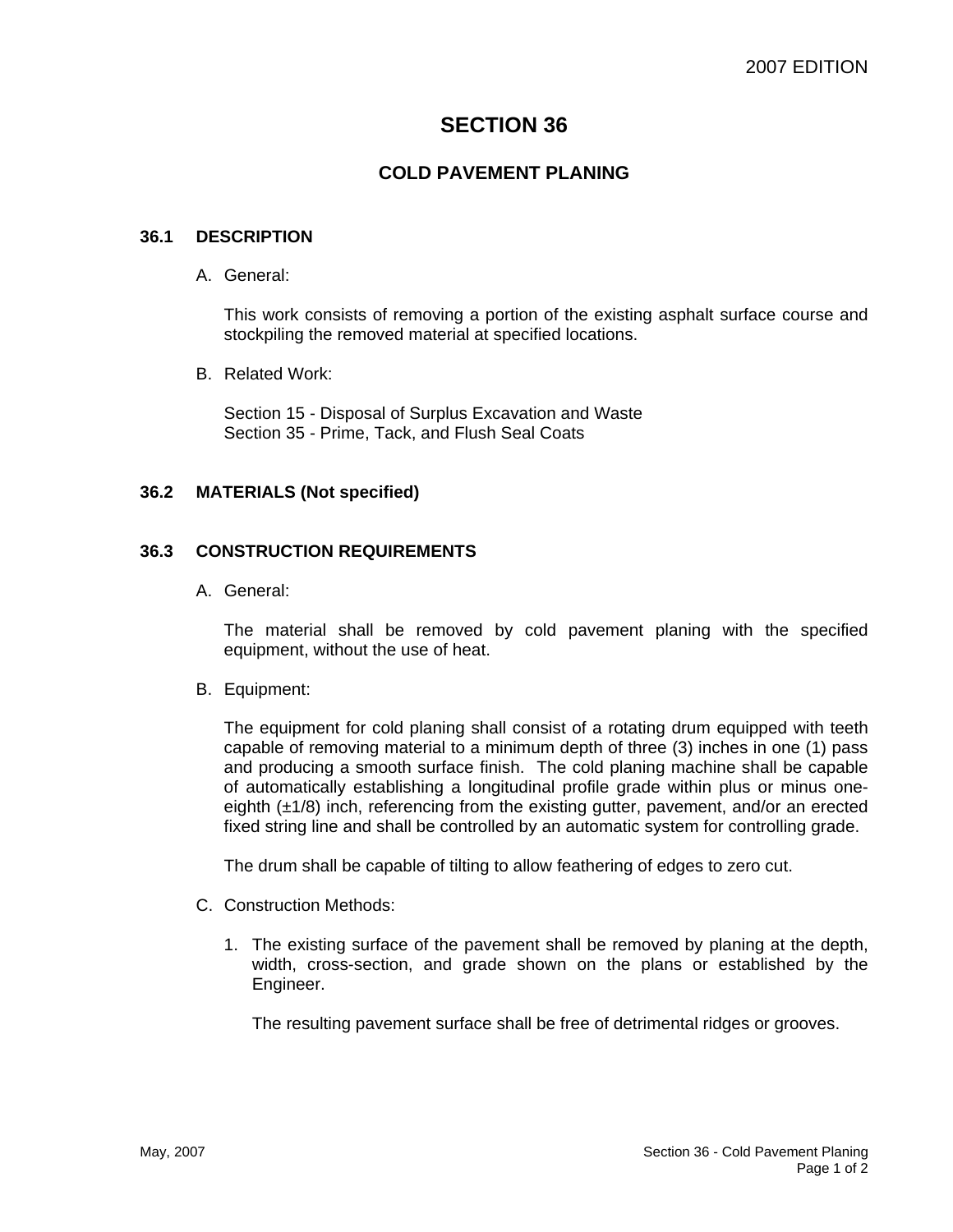# **SECTION 36**

## **COLD PAVEMENT PLANING**

#### **36.1 DESCRIPTION**

A. General:

This work consists of removing a portion of the existing asphalt surface course and stockpiling the removed material at specified locations.

B. Related Work:

Section 15 - Disposal of Surplus Excavation and Waste Section 35 - Prime, Tack, and Flush Seal Coats

#### **36.2 MATERIALS (Not specified)**

#### **36.3 CONSTRUCTION REQUIREMENTS**

A. General:

The material shall be removed by cold pavement planing with the specified equipment, without the use of heat.

B. Equipment:

The equipment for cold planing shall consist of a rotating drum equipped with teeth capable of removing material to a minimum depth of three (3) inches in one (1) pass and producing a smooth surface finish. The cold planing machine shall be capable of automatically establishing a longitudinal profile grade within plus or minus oneeighth  $(\pm 1/8)$  inch, referencing from the existing gutter, pavement, and/or an erected fixed string line and shall be controlled by an automatic system for controlling grade.

The drum shall be capable of tilting to allow feathering of edges to zero cut.

- C. Construction Methods:
	- 1. The existing surface of the pavement shall be removed by planing at the depth, width, cross-section, and grade shown on the plans or established by the Engineer.

The resulting pavement surface shall be free of detrimental ridges or grooves.